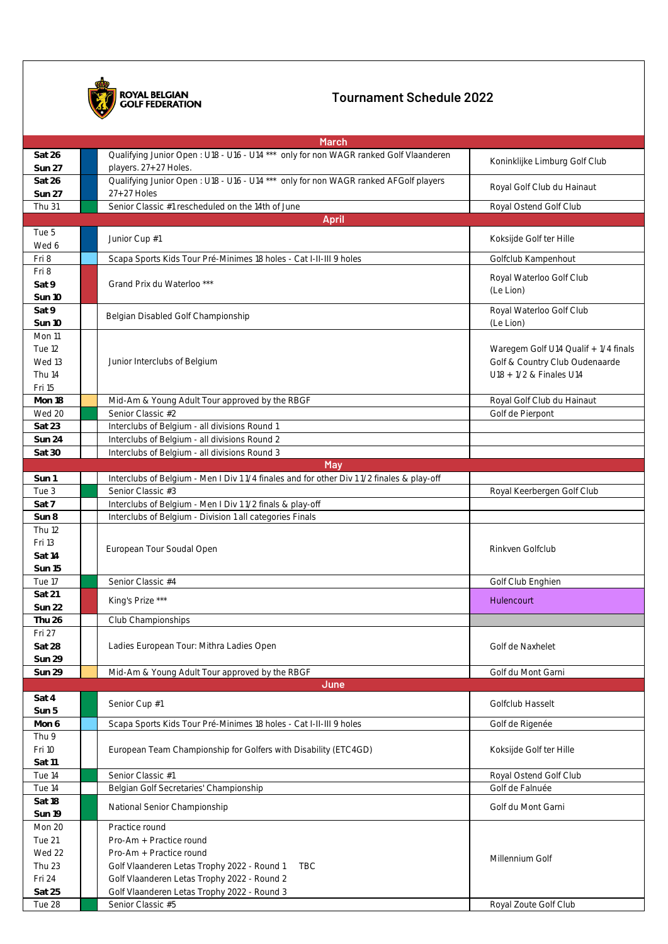

## **Tournament Schedule 2022**

| <b>March</b>                                             |                                                                                                                                                                                                                                 |                                                                                                   |  |  |
|----------------------------------------------------------|---------------------------------------------------------------------------------------------------------------------------------------------------------------------------------------------------------------------------------|---------------------------------------------------------------------------------------------------|--|--|
| Sat 26<br>Sun 27                                         | Qualifying Junior Open: U18 - U16 - U14 *** only for non WAGR ranked Golf Vlaanderen<br>players. 27+27 Holes.                                                                                                                   | Koninklijke Limburg Golf Club                                                                     |  |  |
| Sat 26<br><b>Sun 27</b>                                  | Qualifying Junior Open: U18 - U16 - U14 *** only for non WAGR ranked AFGolf players<br>$27+27$ Holes                                                                                                                            | Royal Golf Club du Hainaut                                                                        |  |  |
| Thu 31                                                   | Senior Classic #1 rescheduled on the 14th of June                                                                                                                                                                               | Royal Ostend Golf Club                                                                            |  |  |
| <b>April</b>                                             |                                                                                                                                                                                                                                 |                                                                                                   |  |  |
| Tue 5<br>Wed 6                                           | Junior Cup #1                                                                                                                                                                                                                   | Koksijde Golf ter Hille                                                                           |  |  |
| Fri 8                                                    | Scapa Sports Kids Tour Pré-Minimes 18 holes - Cat I-II-III 9 holes                                                                                                                                                              | Golfclub Kampenhout                                                                               |  |  |
| Fri 8<br>Sat 9<br>Sun 10                                 | Grand Prix du Waterloo ***                                                                                                                                                                                                      | Royal Waterloo Golf Club<br>(Le Lion)                                                             |  |  |
| Sat 9<br>Sun 10                                          | Belgian Disabled Golf Championship                                                                                                                                                                                              | Royal Waterloo Golf Club<br>(Le Lion)                                                             |  |  |
| Mon 11<br>Tue 12<br>Wed 13<br>Thu 14<br>Fri 15           | Junior Interclubs of Belgium                                                                                                                                                                                                    | Waregem Golf U14 Qualif + 1/4 finals<br>Golf & Country Club Oudenaarde<br>U18 + 1/2 & Finales U14 |  |  |
| Mon 18                                                   | Mid-Am & Young Adult Tour approved by the RBGF                                                                                                                                                                                  | Royal Golf Club du Hainaut                                                                        |  |  |
| Wed 20                                                   | Senior Classic #2                                                                                                                                                                                                               | Golf de Pierpont                                                                                  |  |  |
| Sat 23                                                   | Interclubs of Belgium - all divisions Round 1                                                                                                                                                                                   |                                                                                                   |  |  |
| Sun 24                                                   | Interclubs of Belgium - all divisions Round 2                                                                                                                                                                                   |                                                                                                   |  |  |
| Sat 30                                                   | Interclubs of Belgium - all divisions Round 3                                                                                                                                                                                   |                                                                                                   |  |  |
|                                                          | May                                                                                                                                                                                                                             |                                                                                                   |  |  |
| Sun 1<br>Tue 3                                           | Interclubs of Belgium - Men I Div 1 1/4 finales and for other Div 1 1/2 finales & play-off<br>Senior Classic #3                                                                                                                 | Royal Keerbergen Golf Club                                                                        |  |  |
| Sat 7                                                    | Interclubs of Belgium - Men I Div 1 1/2 finals & play-off                                                                                                                                                                       |                                                                                                   |  |  |
| Sun 8                                                    | Interclubs of Belgium - Division 1 all categories Finals                                                                                                                                                                        |                                                                                                   |  |  |
| Thu 12<br>Fri 13<br>Sat 14<br>Sun 15                     | European Tour Soudal Open                                                                                                                                                                                                       | Rinkven Golfclub                                                                                  |  |  |
| Tue 17                                                   | Senior Classic #4                                                                                                                                                                                                               | Golf Club Enghien                                                                                 |  |  |
| Sat 21<br>Sun 22                                         | King's Prize ***                                                                                                                                                                                                                | Hulencourt                                                                                        |  |  |
| Thu 26                                                   | Club Championships                                                                                                                                                                                                              |                                                                                                   |  |  |
| Fri 27<br>Sat 28<br>Sun 29                               | Ladies European Tour: Mithra Ladies Open                                                                                                                                                                                        | Golf de Naxhelet                                                                                  |  |  |
| Sun 29                                                   | Mid-Am & Young Adult Tour approved by the RBGF                                                                                                                                                                                  | Golf du Mont Garni                                                                                |  |  |
|                                                          | June                                                                                                                                                                                                                            |                                                                                                   |  |  |
| Sat 4<br>Sun 5                                           | Senior Cup #1                                                                                                                                                                                                                   | Golfclub Hasselt                                                                                  |  |  |
| Mon 6                                                    | Scapa Sports Kids Tour Pré-Minimes 18 holes - Cat I-II-III 9 holes                                                                                                                                                              | Golf de Rigenée                                                                                   |  |  |
| Thu 9<br>Fri 10<br>Sat 11                                | European Team Championship for Golfers with Disability (ETC4GD)                                                                                                                                                                 | Koksijde Golf ter Hille                                                                           |  |  |
| Tue 14                                                   | Senior Classic #1                                                                                                                                                                                                               | Royal Ostend Golf Club                                                                            |  |  |
| Tue 14                                                   | Belgian Golf Secretaries' Championship                                                                                                                                                                                          | Golf de Falnuée                                                                                   |  |  |
| Sat 18<br>Sun 19                                         | National Senior Championship                                                                                                                                                                                                    | Golf du Mont Garni                                                                                |  |  |
| Mon 20<br>Tue 21<br>Wed 22<br>Thu 23<br>Fri 24<br>Sat 25 | Practice round<br>Pro-Am + Practice round<br>Pro-Am + Practice round<br>Golf Vlaanderen Letas Trophy 2022 - Round 1<br><b>TBC</b><br>Golf Vlaanderen Letas Trophy 2022 - Round 2<br>Golf Vlaanderen Letas Trophy 2022 - Round 3 | Millennium Golf                                                                                   |  |  |
| Tue 28                                                   | Senior Classic #5                                                                                                                                                                                                               | Royal Zoute Golf Club                                                                             |  |  |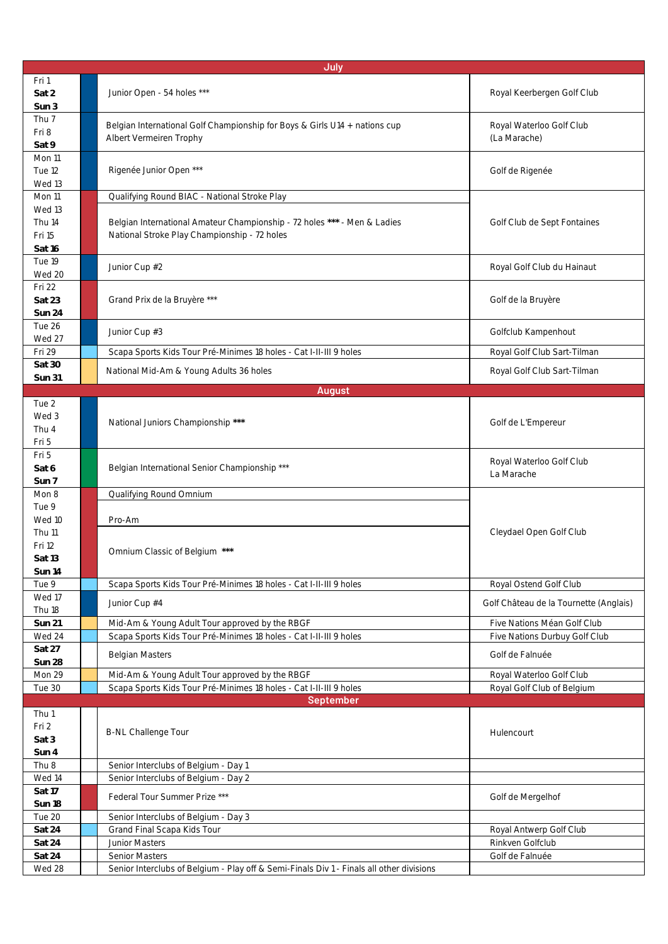| July                                        |                                                                                                                          |                                          |  |
|---------------------------------------------|--------------------------------------------------------------------------------------------------------------------------|------------------------------------------|--|
| Fri 1<br>Sat 2<br>Sun 3                     | Junior Open - 54 holes ***                                                                                               | Royal Keerbergen Golf Club               |  |
| Thu 7<br>Fri 8<br>Sat 9                     | Belgian International Golf Championship for Boys & Girls U14 + nations cup<br>Albert Vermeiren Trophy                    | Royal Waterloo Golf Club<br>(La Marache) |  |
| Mon 11<br>Tue 12<br>Wed 13                  | Rigenée Junior Open ***                                                                                                  | Golf de Rigenée                          |  |
| Mon 11                                      | Qualifying Round BIAC - National Stroke Play                                                                             |                                          |  |
| Wed 13<br>Thu 14<br>Fri 15<br>Sat 16        | Belgian International Amateur Championship - 72 holes *** - Men & Ladies<br>National Stroke Play Championship - 72 holes | Golf Club de Sept Fontaines              |  |
| Tue 19<br>Wed 20                            | Junior Cup #2                                                                                                            | Royal Golf Club du Hainaut               |  |
| Fri 22<br>Sat 23<br>Sun 24                  | Grand Prix de la Bruyère ***                                                                                             | Golf de la Bruyère                       |  |
| Tue 26<br>Wed 27                            | Junior Cup #3                                                                                                            | Golfclub Kampenhout                      |  |
| Fri 29                                      | Scapa Sports Kids Tour Pré-Minimes 18 holes - Cat I-II-III 9 holes                                                       | Royal Golf Club Sart-Tilman              |  |
| Sat 30<br><b>Sun 31</b>                     | National Mid-Am & Young Adults 36 holes                                                                                  | Royal Golf Club Sart-Tilman              |  |
|                                             | <b>August</b>                                                                                                            |                                          |  |
| Tue 2<br>Wed 3<br>Thu 4<br>Fri 5            | National Juniors Championship ***                                                                                        | Golf de L'Empereur                       |  |
| Fri 5<br>Sat 6<br>Sun 7                     | Belgian International Senior Championship ***                                                                            | Royal Waterloo Golf Club<br>La Marache   |  |
| Mon 8                                       | Qualifying Round Omnium                                                                                                  |                                          |  |
| Tue 9<br>Wed 10                             | Pro-Am                                                                                                                   |                                          |  |
| <b>Thu 11</b><br>Fri 12<br>Sat 13<br>Sun 14 | Omnium Classic of Belgium ***                                                                                            | Cleydael Open Golf Club                  |  |
| Tue 9                                       | Scapa Sports Kids Tour Pré-Minimes 18 holes - Cat I-II-III 9 holes                                                       | Royal Ostend Golf Club                   |  |
| Wed 17<br>Thu 18                            | Junior Cup #4                                                                                                            | Golf Château de la Tournette (Anglais)   |  |
| Sun 21                                      | Mid-Am & Young Adult Tour approved by the RBGF                                                                           | Five Nations Méan Golf Club              |  |
| Wed 24                                      | Scapa Sports Kids Tour Pré-Minimes 18 holes - Cat I-II-III 9 holes                                                       | Five Nations Durbuy Golf Club            |  |
| Sat 27<br>Sun 28                            | Belgian Masters                                                                                                          | Golf de Falnuée                          |  |
| Mon 29                                      | Mid-Am & Young Adult Tour approved by the RBGF                                                                           | Royal Waterloo Golf Club                 |  |
| Tue 30                                      | Scapa Sports Kids Tour Pré-Minimes 18 holes - Cat I-II-III 9 holes<br><b>September</b>                                   | Royal Golf Club of Belgium               |  |
| Thu 1                                       |                                                                                                                          |                                          |  |
| Fri 2<br>Sat 3<br>Sun 4                     | <b>B-NL Challenge Tour</b>                                                                                               | Hulencourt                               |  |
| Thu 8                                       | Senior Interclubs of Belgium - Day 1                                                                                     |                                          |  |
| Wed 14                                      | Senior Interclubs of Belgium - Day 2                                                                                     |                                          |  |
| Sat 17<br>Sun 18                            | Federal Tour Summer Prize ***                                                                                            | Golf de Mergelhof                        |  |
| Tue 20                                      | Senior Interclubs of Belgium - Day 3                                                                                     |                                          |  |
| Sat 24                                      | Grand Final Scapa Kids Tour                                                                                              | Royal Antwerp Golf Club                  |  |
| Sat 24                                      | Junior Masters                                                                                                           | Rinkven Golfclub                         |  |
| Sat 24<br>Wed 28                            | Senior Masters<br>Senior Interclubs of Belgium - Play off & Semi-Finals Div 1 - Finals all other divisions               | Golf de Falnuée                          |  |
|                                             |                                                                                                                          |                                          |  |